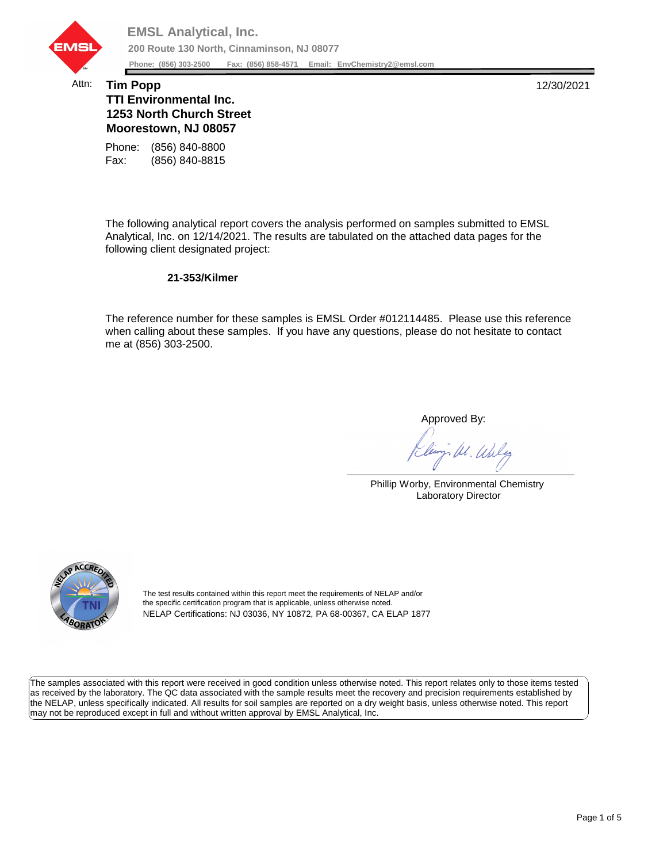

## Attn: **Tim Popp** 12/30/2021 **TTI Environmental Inc. 1253 North Church Street**

Fax: (856) 840-8815 Phone: (856) 840-8800

**Moorestown, NJ 08057**

The following analytical report covers the analysis performed on samples submitted to EMSL Analytical, Inc. on 12/14/2021. The results are tabulated on the attached data pages for the following client designated project:

## **21-353/Kilmer**

The reference number for these samples is EMSL Order #012114485. Please use this reference when calling about these samples. If you have any questions, please do not hesitate to contact me at (856) 303-2500.

Approved By:

W. Whly

Phillip Worby, Environmental Chemistry Laboratory Director



The test results contained within this report meet the requirements of NELAP and/or the specific certification program that is applicable, unless otherwise noted. NELAP Certifications: NJ 03036, NY 10872, PA 68-00367, CA ELAP 1877

The samples associated with this report were received in good condition unless otherwise noted. This report relates only to those items tested as received by the laboratory. The QC data associated with the sample results meet the recovery and precision requirements established by the NELAP, unless specifically indicated. All results for soil samples are reported on a dry weight basis, unless otherwise noted. This report may not be reproduced except in full and without written approval by EMSL Analytical, Inc.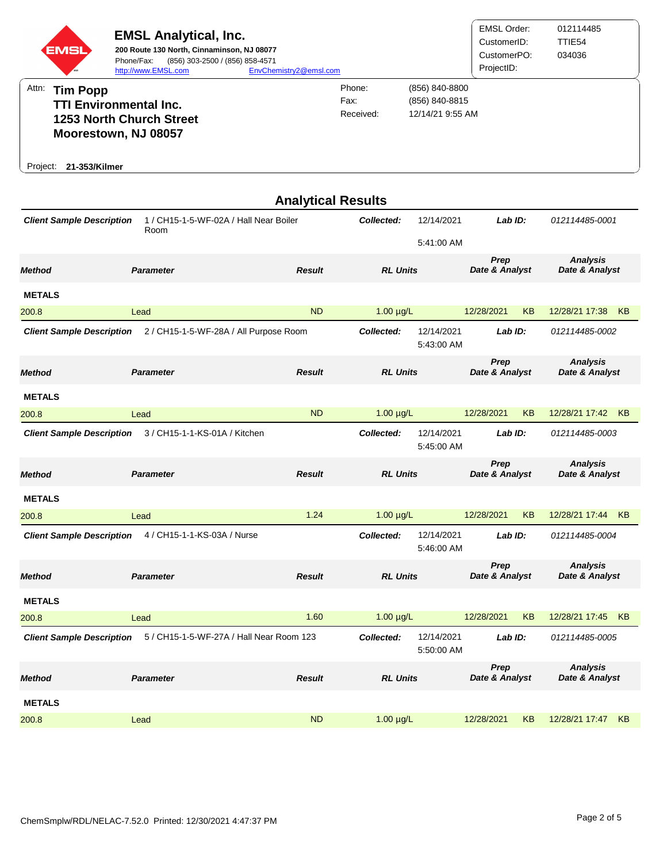| EMSI<br>Attn:<br><b>Tim Popp</b><br><b>TTI Environmental Inc.</b>                    | <b>EMSL Analytical, Inc.</b><br>200 Route 130 North, Cinnaminson, NJ 08077<br>Phone/Fax:<br>(856) 303-2500 / (856) 858-4571<br>http://www.EMSL.com | EnvChemistry2@emsl.com    | Phone:<br>Fax:  | (856) 840-8800<br>(856) 840-8815 | <b>EMSL Order:</b><br>CustomerID:<br>CustomerPO:<br>ProjectID: |                | 012114485<br>TTIE54<br>034036     |    |
|--------------------------------------------------------------------------------------|----------------------------------------------------------------------------------------------------------------------------------------------------|---------------------------|-----------------|----------------------------------|----------------------------------------------------------------|----------------|-----------------------------------|----|
| <b>1253 North Church Street</b><br>Moorestown, NJ 08057<br>21-353/Kilmer<br>Project: |                                                                                                                                                    |                           | Received:       | 12/14/21 9:55 AM                 |                                                                |                |                                   |    |
|                                                                                      |                                                                                                                                                    | <b>Analytical Results</b> |                 |                                  |                                                                |                |                                   |    |
| 1 / CH15-1-5-WF-02A / Hall Near Boiler<br><b>Client Sample Description</b>           |                                                                                                                                                    | Collected:                |                 | 12/14/2021                       | Lab ID:                                                        |                | 012114485-0001                    |    |
|                                                                                      | Room                                                                                                                                               |                           |                 |                                  |                                                                |                |                                   |    |
| <b>Method</b>                                                                        | <b>Parameter</b>                                                                                                                                   | <b>Result</b>             |                 | <b>RL Units</b>                  |                                                                | Date & Analyst | <b>Analysis</b><br>Date & Analyst |    |
| <b>METALS</b>                                                                        |                                                                                                                                                    |                           |                 |                                  |                                                                |                |                                   |    |
| 200.8                                                                                | Lead                                                                                                                                               | <b>ND</b>                 | $1.00 \mu g/L$  |                                  | 12/28/2021                                                     | <b>KB</b>      | 12/28/21 17:38                    | KB |
| <b>Client Sample Description</b>                                                     | 2 / CH15-1-5-WF-28A / All Purpose Room                                                                                                             |                           | Collected:      | 12/14/2021<br>5:43:00 AM         | Lab ID:                                                        |                | 012114485-0002                    |    |
| <b>Method</b>                                                                        | <b>Parameter</b>                                                                                                                                   | <b>Result</b>             |                 | <b>RL Units</b>                  |                                                                | Date & Analyst | <b>Analysis</b><br>Date & Analyst |    |
| <b>METALS</b>                                                                        |                                                                                                                                                    |                           |                 |                                  |                                                                |                |                                   |    |
| 200.8                                                                                | Lead                                                                                                                                               | <b>ND</b>                 | $1.00 \mu g/L$  |                                  | 12/28/2021                                                     | <b>KB</b>      | 12/28/21 17:42 KB                 |    |
| <b>Client Sample Description</b>                                                     | 3 / CH15-1-1-KS-01A / Kitchen                                                                                                                      |                           | Collected:      | 12/14/2021<br>5:45:00 AM         | Lab ID:                                                        |                | 012114485-0003                    |    |
| <b>Method</b>                                                                        | <b>Parameter</b>                                                                                                                                   | <b>Result</b>             | <b>RL Units</b> |                                  | Prep<br>Date & Analyst                                         |                | <b>Analysis</b><br>Date & Analyst |    |
| <b>METALS</b>                                                                        |                                                                                                                                                    |                           |                 |                                  |                                                                |                |                                   |    |
| 200.8                                                                                | Lead                                                                                                                                               | 1.24                      | $1.00 \mu g/L$  |                                  | 12/28/2021                                                     | KB             | 12/28/21 17:44 KB                 |    |
| <b>Client Sample Description</b>                                                     | 4 / CH15-1-1-KS-03A / Nurse                                                                                                                        |                           | Collected:      | 12/14/2021<br>5:46:00 AM         | Lab ID:                                                        |                | 012114485-0004                    |    |
| <b>Method</b>                                                                        | <b>Parameter</b>                                                                                                                                   | <b>Result</b>             |                 | <b>RL Units</b>                  |                                                                | Date & Analyst | <b>Analysis</b><br>Date & Analyst |    |
| <b>METALS</b>                                                                        |                                                                                                                                                    |                           |                 |                                  |                                                                |                |                                   |    |
| 200.8                                                                                | Lead                                                                                                                                               | 1.60                      | $1.00 \mu g/L$  |                                  | 12/28/2021                                                     | <b>KB</b>      | 12/28/21 17:45 KB                 |    |
| <b>Client Sample Description</b>                                                     | 5 / CH15-1-5-WF-27A / Hall Near Room 123                                                                                                           |                           | Collected:      | 12/14/2021<br>5:50:00 AM         | Lab ID:                                                        |                | 012114485-0005                    |    |
| <b>Method</b>                                                                        | <b>Parameter</b>                                                                                                                                   | <b>Result</b>             | <b>RL Units</b> |                                  | Prep<br>Date & Analyst                                         |                | <b>Analysis</b><br>Date & Analyst |    |
| <b>METALS</b>                                                                        |                                                                                                                                                    |                           |                 |                                  |                                                                |                |                                   |    |
| 200.8                                                                                | Lead                                                                                                                                               | <b>ND</b>                 | $1.00 \mu g/L$  |                                  | 12/28/2021                                                     | KB             | 12/28/21 17:47 KB                 |    |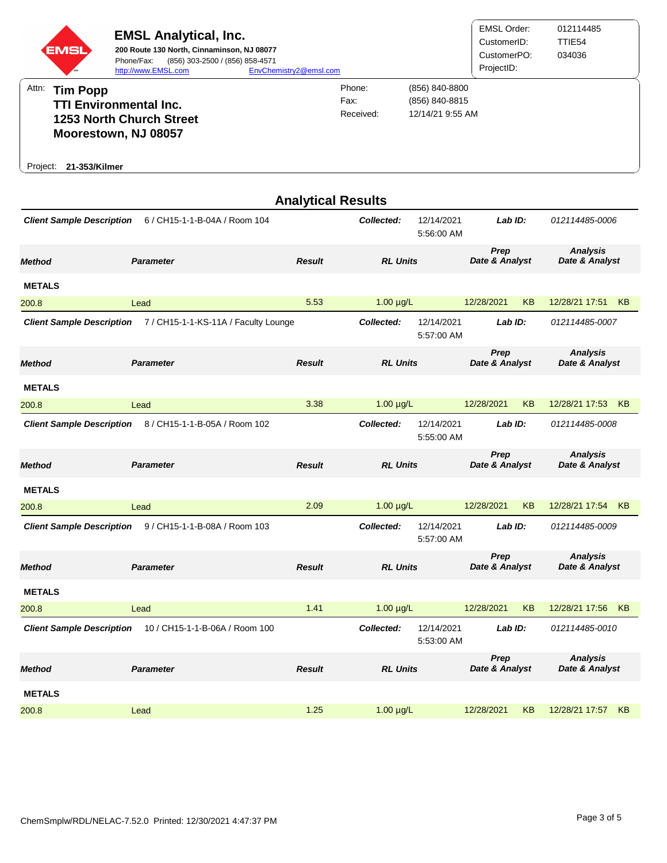

|                                  |                                      | <b>Analytical Results</b> |                                        |                          |                         |                                                     |
|----------------------------------|--------------------------------------|---------------------------|----------------------------------------|--------------------------|-------------------------|-----------------------------------------------------|
| <b>Client Sample Description</b> | 6 / CH15-1-1-B-04A / Room 104        |                           | Collected:<br>12/14/2021<br>5:56:00 AM |                          | Lab ID:                 | 012114485-0006                                      |
| <b>Method</b>                    | <b>Parameter</b>                     | <b>Result</b>             | <b>RL Units</b>                        |                          | Prep<br>Date & Analyst  | <b>Analysis</b><br>Date & Analyst                   |
| <b>METALS</b>                    |                                      |                           |                                        |                          |                         |                                                     |
| 200.8                            | Lead                                 | 5.53                      | $1.00 \mu g/L$                         |                          | 12/28/2021<br><b>KB</b> | 12/28/21 17:51<br><b>KB</b>                         |
| <b>Client Sample Description</b> | 7 / CH15-1-1-KS-11A / Faculty Lounge |                           | Collected:                             | 12/14/2021<br>5:57:00 AM | Lab ID:                 | 012114485-0007                                      |
| <b>Method</b>                    | <b>Parameter</b>                     | <b>Result</b>             |                                        | <b>RL Units</b>          |                         | <b>Analysis</b><br>Date & Analyst<br>Date & Analyst |
| <b>METALS</b>                    |                                      |                           |                                        |                          |                         |                                                     |
| 200.8                            | Lead                                 | 3.38                      | $1.00 \mu g/L$                         |                          | 12/28/2021<br><b>KB</b> | 12/28/21 17:53<br><b>KB</b>                         |
| <b>Client Sample Description</b> | 8 / CH15-1-1-B-05A / Room 102        |                           | Collected:                             | 12/14/2021<br>5:55:00 AM | Lab ID:                 | 012114485-0008                                      |
| <b>Method</b>                    | <b>Parameter</b>                     | <b>Result</b>             | <b>RL Units</b>                        |                          | Prep<br>Date & Analyst  | <b>Analysis</b><br>Date & Analyst                   |
| <b>METALS</b>                    |                                      |                           |                                        |                          |                         |                                                     |
| 200.8                            | Lead                                 | 2.09                      | $1.00 \mu g/L$                         |                          | <b>KB</b><br>12/28/2021 | 12/28/21 17:54<br><b>KB</b>                         |
| <b>Client Sample Description</b> | 9 / CH15-1-1-B-08A / Room 103        |                           | Collected:                             | 12/14/2021<br>5:57:00 AM | Lab ID:                 | 012114485-0009                                      |
| <b>Method</b>                    | <b>Parameter</b>                     | <b>Result</b>             | <b>RL Units</b>                        |                          | Prep<br>Date & Analyst  | <b>Analysis</b><br>Date & Analyst                   |
| <b>METALS</b>                    |                                      |                           |                                        |                          |                         |                                                     |
| 200.8                            | Lead                                 | 1.41                      | $1.00 \mu g/L$                         |                          | 12/28/2021<br><b>KB</b> | 12/28/21 17:56<br>KB                                |
| <b>Client Sample Description</b> | 10 / CH15-1-1-B-06A / Room 100       |                           | Collected:                             | 12/14/2021<br>5:53:00 AM | Lab ID:                 | 012114485-0010                                      |
| <b>Method</b>                    | <b>Parameter</b>                     | <b>Result</b>             | <b>RL Units</b>                        |                          | Prep<br>Date & Analyst  | <b>Analysis</b><br>Date & Analyst                   |
| <b>METALS</b>                    |                                      |                           |                                        |                          |                         |                                                     |
| 200.8                            | Lead                                 | 1.25                      | $1.00 \mu g/L$                         |                          | 12/28/2021<br><b>KB</b> | 12/28/21 17:57<br>KB                                |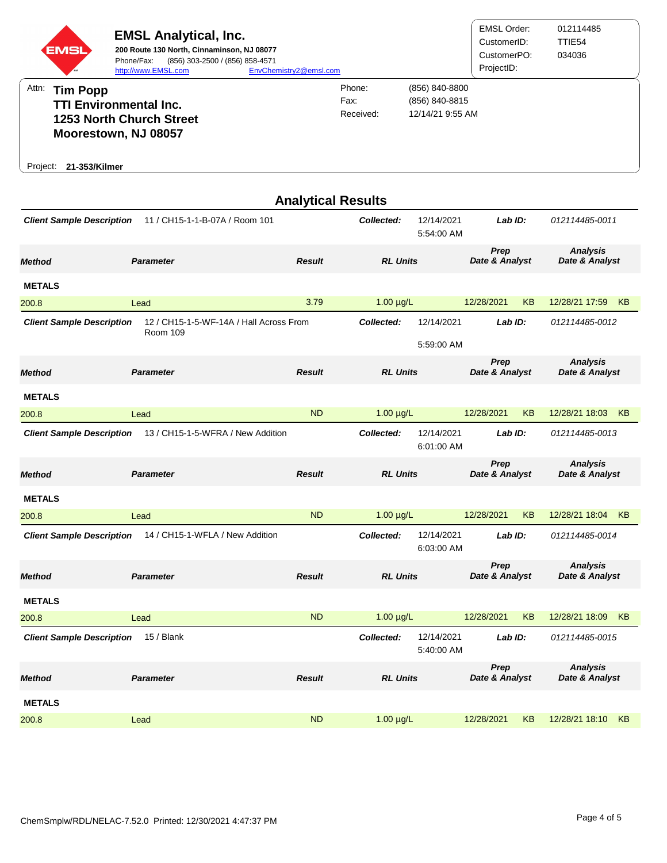

| <b>Client Sample Description</b><br>11 / CH15-1-1-B-07A / Room 101    |               | Collected:                              | 12/14/2021<br>5:54:00 AM  | Lab ID:                                                              |                              | 012114485-0011                                                                                                   |                                                                                        |
|-----------------------------------------------------------------------|---------------|-----------------------------------------|---------------------------|----------------------------------------------------------------------|------------------------------|------------------------------------------------------------------------------------------------------------------|----------------------------------------------------------------------------------------|
| <b>Parameter</b>                                                      | <b>Result</b> |                                         | <b>RL Units</b>           |                                                                      |                              | <b>Analysis</b><br>Date & Analyst                                                                                |                                                                                        |
|                                                                       |               |                                         |                           |                                                                      |                              |                                                                                                                  |                                                                                        |
| Lead                                                                  | 3.79          |                                         |                           | 12/28/2021                                                           | <b>KB</b>                    |                                                                                                                  | KB                                                                                     |
| <b>Client Sample Description</b><br>Room 109                          |               | Collected:                              | 12/14/2021                |                                                                      |                              |                                                                                                                  |                                                                                        |
|                                                                       |               |                                         | 5:59:00 AM                |                                                                      |                              |                                                                                                                  |                                                                                        |
| <b>Parameter</b>                                                      | <b>Result</b> |                                         | <b>RL Units</b>           |                                                                      |                              | <b>Analysis</b><br>Date & Analyst                                                                                |                                                                                        |
|                                                                       |               |                                         |                           |                                                                      |                              |                                                                                                                  |                                                                                        |
| Lead                                                                  | <b>ND</b>     |                                         |                           | 12/28/2021                                                           | <b>KB</b>                    | 12/28/21 18:03                                                                                                   | KB                                                                                     |
| 13 / CH15-1-5-WFRA / New Addition<br><b>Client Sample Description</b> |               | Collected:                              | 12/14/2021<br>6:01:00 AM  |                                                                      |                              |                                                                                                                  |                                                                                        |
| <b>Parameter</b>                                                      | <b>Result</b> | <b>RL Units</b>                         |                           | Prep<br>Date & Analyst                                               |                              | <b>Analysis</b><br>Date & Analyst                                                                                |                                                                                        |
|                                                                       |               |                                         |                           |                                                                      |                              |                                                                                                                  |                                                                                        |
| Lead                                                                  | <b>ND</b>     |                                         |                           | 12/28/2021                                                           | <b>KB</b>                    | 12/28/21 18:04                                                                                                   | KB                                                                                     |
| <b>Client Sample Description</b><br>14 / CH15-1-WFLA / New Addition   |               | Collected:                              | 12/14/2021<br>6:03:00 AM  |                                                                      |                              |                                                                                                                  |                                                                                        |
| <b>Parameter</b>                                                      | <b>Result</b> |                                         | <b>RL Units</b>           |                                                                      |                              | <b>Analysis</b><br>Date & Analyst                                                                                |                                                                                        |
|                                                                       |               |                                         |                           |                                                                      |                              |                                                                                                                  |                                                                                        |
| Lead                                                                  | <b>ND</b>     |                                         |                           | 12/28/2021                                                           | <b>KB</b>                    | 12/28/21 18:09                                                                                                   | KB                                                                                     |
| <b>Client Sample Description</b><br>15 / Blank                        |               | Collected:                              | 12/14/2021<br>5:40:00 AM  |                                                                      |                              |                                                                                                                  |                                                                                        |
| <b>Parameter</b>                                                      | <b>Result</b> |                                         | <b>RL Units</b>           |                                                                      |                              | <b>Analysis</b><br>Date & Analyst                                                                                |                                                                                        |
|                                                                       |               |                                         |                           |                                                                      |                              |                                                                                                                  |                                                                                        |
| Lead                                                                  | <b>ND</b>     | $1.00 \mu g/L$                          |                           | 12/28/2021                                                           | <b>KB</b>                    | 12/28/21 18:10                                                                                                   | <b>KB</b>                                                                              |
|                                                                       |               | 12 / CH15-1-5-WF-14A / Hall Across From | <b>Analytical Results</b> | $1.00 \mu g/L$<br>$1.00 \mu g/L$<br>$1.00 \mu g/L$<br>$1.00 \mu g/L$ | Prep<br>Prep<br>Prep<br>Prep | Date & Analyst<br>Lab ID:<br>Date & Analyst<br>Lab ID:<br>Lab ID:<br>Date & Analyst<br>Lab ID:<br>Date & Analyst | 12/28/21 17:59<br>012114485-0012<br>012114485-0013<br>012114485-0014<br>012114485-0015 |